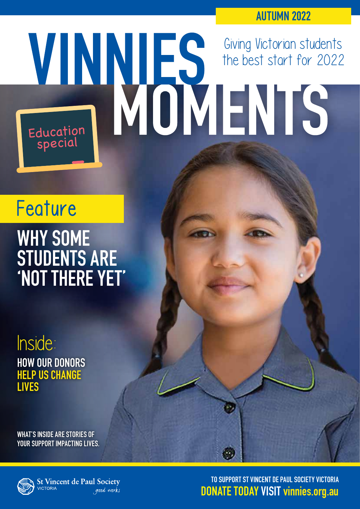**AUTUMN 2022**

# Giving Victorian students the best start for 2022 Education Education<br>special

# Feature

# **WHY SOME STUDENTS ARE 'NOT THERE YET'**

Inside: **HOW OUR DONORS HELP US CHANGE LIVES**

**WHAT'S INSIDE ARE STORIES OF YOUR SUPPORT IMPACTING LIVES.**



**St Vincent de Paul Society ICTORIA** good works

**[TO SUPPORT ST VINCENT DE PAUL SOCIETY VICTORIA](https://donate.vinnies.org.au/appeals-vic/autumn-newsletter-appeal?utm_medium=digital&utm_source=website&utm_campaign=2022%20autumn%20newsletter&utm_content=newsletter%20donate%20link&utm_term=vic)  DONATE TODAY VISIT vinnies.org.au**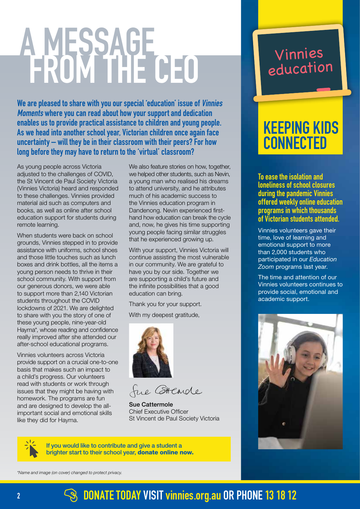# **A MESSAGE FROM THE CEO**

**We are pleased to share with you our special 'education' issue of Vinnies Moments where you can read about how your support and dedication enables us to provide practical assistance to children and young people. As we head into another school year, Victorian children once again face uncertainty – will they be in their classroom with their peers? For how long before they may have to return to the 'virtual' classroom?** 

As young people across Victoria adjusted to the challenges of COVID, the St Vincent de Paul Society Victoria (Vinnies Victoria) heard and responded to these challenges. Vinnies provided material aid such as computers and books, as well as online after school education support for students during remote learning.

When students were back on school grounds, Vinnies stepped in to provide assistance with uniforms, school shoes and those little touches such as lunch boxes and drink bottles, all the items a young person needs to thrive in their school community. With support from our generous donors, we were able to support more than 2,140 Victorian students throughout the COVID lockdowns of 2021. We are delighted to share with you the story of one of these young people, nine-year-old Hayma\*, whose reading and confidence really improved after she attended our after-school educational programs.

Vinnies volunteers across Victoria provide support on a crucial one-to-one basis that makes such an impact to a child's progress. Our volunteers read with students or work through issues that they might be having with homework. The programs are fun and are designed to develop the allimportant social and emotional skills like they did for Hayma.

We also feature stories on how, together, we helped other students, such as Nevin, a young man who realised his dreams to attend university, and he attributes much of his academic success to the Vinnies education program in Dandenong. Nevin experienced firsthand how education can break the cycle and, now, he gives his time supporting young people facing similar struggles that he experienced growing up.

With your support, Vinnies Victoria will continue assisting the most vulnerable in our community. We are grateful to have you by our side. Together we are supporting a child's future and the infinite possibilities that a good education can bring.

Thank you for your support.

With my deepest gratitude.



fue CHearde

Sue Cattermole Chief Executive Officer St Vincent de Paul Society Victoria

[If you would like to contribute and give a student a](https://donate.vinnies.org.au/appeals-vic/autumn-newsletter-appeal?utm_medium=digital&utm_source=website&utm_campaign=2022%20autumn%20newsletter&utm_content=newsletter%20donate%20link&utm_term=vic)  brighter start to their school year, donate online now.

## Vinnies education

# **KEEPING KIDS CONNECTED**

**To ease the isolation and loneliness of school closures during the pandemic Vinnies offered weekly online education programs in which thousands of Victorian students attended.** 

Vinnies volunteers gave their time, love of learning and emotional support to more than 2,000 students who participated in our *Education Zoom* programs last year.

The time and attention of our Vinnies volunteers continues to provide social, emotional and academic support.



*\*Name and image (on cover) changed to protect privacy.*

## **2 [DONATE TODAY VISIT](https://donate.vinnies.org.au/appeals-vic/autumn-newsletter-appeal?utm_medium=digital&utm_source=website&utm_campaign=2022%20autumn%20newsletter&utm_content=newsletter%20donate%20link&utm_term=vic)** vinnies.org.au OR PHONE 13 18 12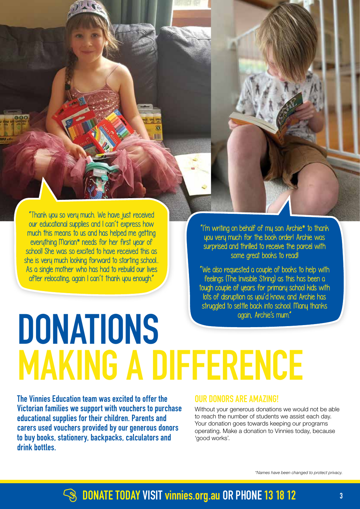"Thank you so very much. We have just received our educational supplies and I can't express how much this means to us and has helped me getting everything Marian\* needs for her first year of school! She was so excited to have received this as she is very much looking forward to starting school... As a single mother who has had to rebuild our lives after relocating, again I can't thank you enough."

"I'm writing on behalf of my son Archie\* to thank you very much for the book order! Archie was surprised and thrilled to receive the parcel with some great books to read!

"We also requested a couple of books to help with feelings (The Invisible String) as this has been a tough couple of years for primary school kids with lots of disruption as you'd know, and Archie has struggled to settle back into school. Many thanks again, Archie's mum."

# **DONATIONS MAKING A DIFFERENCE**

**The Vinnies Education team was excited to offer the Victorian families we support with vouchers to purchase educational supplies for their children. Parents and carers used vouchers provided by our generous donors to buy books, stationery, backpacks, calculators and drink bottles.**

#### **OUR DONORS ARE AMAZING!**

Without your generous donations we would not be able to reach the number of students we assist each day. Your donation goes towards keeping our programs operating. Make a donation to Vinnies today, because 'good works'.

*\*Names have been changed to protect privacy.*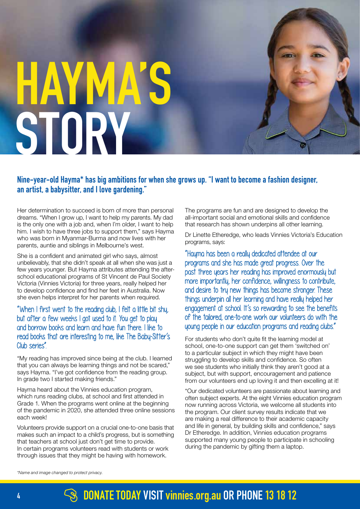# **HAYMA STORY**

#### **Nine-year-old Hayma\* has big ambitions for when she grows up. "I want to become a fashion designer, an artist, a babysitter, and I love gardening."**

Her determination to succeed is born of more than personal dreams. "When I grow up, I want to help my parents. My dad is the only one with a job and, when I'm older, I want to help him. I wish to have three jobs to support them," says Hayma who was born in Myanmar-Burma and now lives with her parents, auntie and siblings in Melbourne's west.

She is a confident and animated girl who says, almost unbelievably, that she didn't speak at all when she was just a few years younger. But Hayma attributes attending the afterschool educational programs of St Vincent de Paul Society Victoria (Vinnies Victoria) for three years, really helped her to develop confidence and find her feet in Australia. Now she even helps interpret for her parents when required.

#### "When I first went to the reading club, I felt a little bit shy, but after a few weeks I got used to it. You get to play and borrow books and learn and have fun there. I like to read books that are interesting to me, like The Baby-Sitter's Club series".

"My reading has improved since being at the club. I learned that you can always be learning things and not be scared," says Hayma. "I've got confidence from the reading group. In grade two I started making friends."

Hayma heard about the Vinnies education program, which runs reading clubs, at school and first attended in Grade 1. When the programs went online at the beginning of the pandemic in 2020, she attended three online sessions each week!

Volunteers provide support on a crucial one-to-one basis that makes such an impact to a child's progress, but is something that teachers at school just don't get time to provide. In certain programs volunteers read with students or work through issues that they might be having with homework.

The programs are fun and are designed to develop the all-important social and emotional skills and confidence that research has shown underpins all other learning.

Dr Linette Etheredge, who leads Vinnies Victoria's Education programs, says:

"Hayma has been a really dedicated attendee at our programs and she has made great progress. Over the past three years her reading has improved enormously but more importantly, her confidence, willingness to contribute, and desire to try new things has become stronger. These things underpin all her learning and have really helped her engagement at school. It's so rewarding to see the benefits of the tailored, one-to-one work our volunteers do with the young people in our education programs and reading clubs."

For students who don't quite fit the learning model at school, one-to-one support can get them 'switched on' to a particular subject in which they might have been struggling to develop skills and confidence. So often we see students who initially think they aren't good at a subject, but with support, encouragement and patience from our volunteers end up loving it and then excelling at it!

"Our dedicated volunteers are passionate about learning and often subject experts. At the eight Vinnies education program now running across Victoria, we welcome all students into the program. Our client survey results indicate that we are making a real difference to their academic capacity and life in general, by building skills and confidence," says Dr Etheredge. In addition, Vinnies education programs supported many young people to participate in schooling during the pandemic by gifting them a laptop.

*\*Name and image changed to protect privacy.*

# **<sup>4</sup> [DONATE TODAY VISIT](https://donate.vinnies.org.au/appeals-vic/autumn-newsletter-appeal?utm_medium=digital&utm_source=website&utm_campaign=2022%20autumn%20newsletter&utm_content=newsletter%20donate%20link&utm_term=vic) vinnies.org.au OR PHONE13 18 12**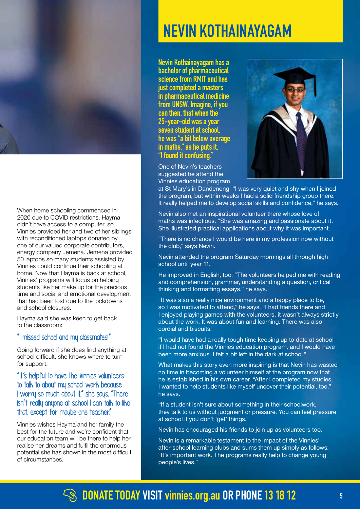

When home schooling commenced in 2020 due to COVID restrictions, Hayma didn't have access to a computer, so Vinnies provided her and two of her siblings with reconditioned laptops donated by one of our valued corporate contributors, energy company Jemena. Jemena provided 50 laptops so many students assisted by Vinnies could continue their schooling at home. Now that Hayma is back at school, Vinnies' programs will focus on helping students like her make up for the precious time and social and emotional development that had been lost due to the lockdowns and school closures.

Hayma said she was keen to get back to the classroom:

#### "I missed school and my classmates!"

Going forward if she does find anything at school difficult, she knows where to turn for support.

#### "It's helpful to have the Vinnies volunteers to talk to about my school work because I worry so much about it," she says. "There isn't really anyone at school I can talk to like that, except for maybe one teacher"

Vinnies wishes Hayma and her family the best for the future and we're confident that our education team will be there to help her realise her dreams and fulfil the enormous potential she has shown in the most difficult of circumstances.

# **NEVIN KOTHAINAYAGAM**

**Nevin Kothainayagam has a bachelor of pharmaceutical science from RMIT and has just completed a masters in pharmaceutical medicine from UNSW. Imagine, if you can then, that when the 25-year-old was a year seven student at school, he was "a bit below average in maths," as he puts it. "I found it confusing."**

One of Nevin's teachers suggested he attend the Vinnies education program



at St Mary's in Dandenong. "I was very quiet and shy when I joined the program, but within weeks I had a solid friendship group there. It really helped me to develop social skills and confidence," he says.

Nevin also met an inspirational volunteer there whose love of maths was infectious. "She was amazing and passionate about it. She illustrated practical applications about why it was important.

"There is no chance I would be here in my profession now without the club," says Nevin.

Nevin attended the program Saturday mornings all through high school until year 11.

He improved in English, too. "The volunteers helped me with reading and comprehension, grammar, understanding a question, critical thinking and formatting essays." he says.

"It was also a really nice environment and a happy place to be, so I was motivated to attend," he says. "I had friends there and I enjoyed playing games with the volunteers, it wasn't always strictly about the work. It was about fun and learning. There was also cordial and biscuits!

"I would have had a really tough time keeping up to date at school if I had not found the Vinnies education program, and I would have been more anxious. I felt a bit left in the dark at school."

I wanted to help students like myself uncover their potential, too," What makes this story even more inspiring is that Nevin has wasted no time in becoming a volunteer himself at the program now that he is established in his own career. "After I completed my studies, he says.

"If a student isn't sure about something in their schoolwork, If a statement is the about sometimity in their schoonwork,<br>they talk to us without judgment or pressure. You can feel pressure andy tank to do whillock judgment of<br>at school if you don't 'get' things."

Nevin has encouraged his friends to join up as volunteers too.

Nevin is a remarkable testament to the impact of the Vinnies' after-school learning clubs and sums them up simply as follows: "It's important work. The programs really help to change young people's lives."

### **B** [DONATE TODAY VISIT](https://donate.vinnies.org.au/appeals-vic/autumn-newsletter-appeal?utm_medium=digital&utm_source=website&utm_campaign=2022%20autumn%20newsletter&utm_content=newsletter%20donate%20link&utm_term=vic) vinnies.org.au OR PHONE 13 18 12 **5**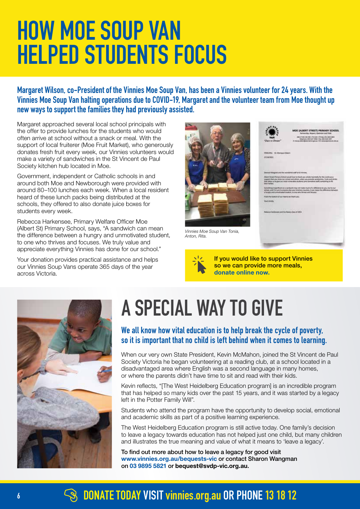# **HOW MOE SOUP VAN HELPED STUDENTS FOCUS**

**Margaret Wilson, co-President of the Vinnies Moe Soup Van, has been a Vinnies volunteer for 24 years. With the Vinnies Moe Soup Van halting operations due to COVID-19, Margaret and the volunteer team from Moe thought up new ways to support the families they had previously assisted.**

Margaret approached several local school principals with the offer to provide lunches for the students who would often arrive at school without a snack or meal. With the support of local fruiterer (Moe Fruit Market), who generously donates fresh fruit every week, our Vinnies volunteers would make a variety of sandwiches in the St Vincent de Paul Society kitchen hub located in Moe.

Government, independent or Catholic schools in and around both Moe and Newborough were provided with around 80–100 lunches each week. When a local resident heard of these lunch packs being distributed at the schools, they offered to also donate juice boxes for students every week.

Rebecca Harkensee, Primary Welfare Officer Moe (Albert St) Primary School, says, "A sandwich can mean the difference between a hungry and unmotivated student, to one who thrives and focuses. We truly value and appreciate everything Vinnies has done for our school."

Your donation provides practical assistance and helps our Vinnies Soup Vans operate 365 days of the year across Victoria.



*Vinnies Moe Soup Van Tonia, Anton, Rita.*



[If you would like to support Vinnies](https://donate.vinnies.org.au/appeals-vic/autumn-newsletter-appeal?utm_medium=digital&utm_source=website&utm_campaign=2022%20autumn%20newsletter&utm_content=newsletter%20donate%20link&utm_term=vic)  so we can provide more meals, donate online now.



# **A SPECIAL WAY TO GIVE**

#### **We all know how vital education is to help break the cycle of poverty, so it is important that no child is left behind when it comes to learning.**

When our very own State President, Kevin McMahon, joined the St Vincent de Paul Society Victoria he began volunteering at a reading club, at a school located in a disadvantaged area where English was a second language in many homes, or where the parents didn't have time to sit and read with their kids.

Kevin reflects, "[The West Heidelberg Education program] is an incredible program that has helped so many kids over the past 15 years, and it was started by a legacy left in the Potter Family Will".

Students who attend the program have the opportunity to develop social, emotional and academic skills as part of a positive learning experience.

The West Heidelberg Education program is still active today. One family's decision to leave a legacy towards education has not helped just one child, but many children and illustrates the true meaning and value of what it means to 'leave a legacy'.

To find out more about how to leave a legacy for good visit [www.vinnies.org.au/bequests-vic](http://www.vinnies.org.au/bequests-vic) or contact Sharon Wangman on 03 9895 5821 or [bequest@svdp-vic.org.au](mailto:bequest@svdp-vic.org.au).

# **<sup>6</sup> [DONATE TODAY VISIT](https://donate.vinnies.org.au/appeals-vic/autumn-newsletter-appeal?utm_medium=digital&utm_source=website&utm_campaign=2022%20autumn%20newsletter&utm_content=newsletter%20donate%20link&utm_term=vic) vinnies.org.au OR PHONE13 18 12**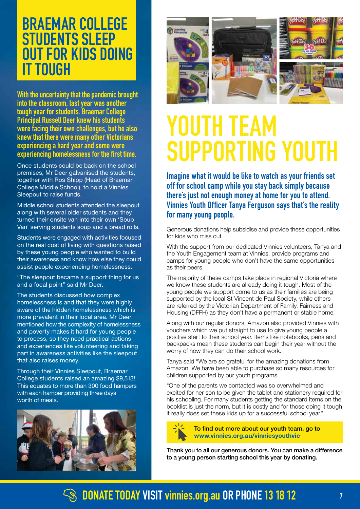# **BRAEMAR COLLEGE STUDENTS SLEEP OUT FOR KIDS DOING IT TOUGH**

**With the uncertainty that the pandemic brought into the classroom, last year was another tough year for students. Braemar College Principal Russell Deer knew his students were facing their own challenges, but he also knew that there were many other Victorians experiencing a hard year and some were experiencing homelessness for the first time.** 

Once students could be back on the school premises, Mr Deer galvanised the students, together with Ros Shipp (Head of Braemar College Middle School), to hold a Vinnies Sleepout to raise funds.

Middle school students attended the sleepout along with several older students and they turned their onsite van into their own 'Soup Van' serving students soup and a bread rolls.

Students were engaged with activities focused on the real cost of living with questions raised by these young people who wanted to build their awareness and know how else they could assist people experiencing homelessness.

"The sleepout became a support thing for us and a focal point" said Mr Deer.

The students discussed how complex homelessness is and that they were highly aware of the hidden homelessness which is more prevalent in their local area. Mr Deer mentioned how the complexity of homelessness and poverty makes it hard for young people to process, so they need practical actions and experiences like volunteering and taking part in awareness activities like the sleepout that also raises money.

Through their Vinnies Sleepout, Braemar College students raised an amazing \$9,513! This equates to more than 300 food hampers with each hamper providing three days worth of meals.







**Imagine what it would be like to watch as your friends set off for school camp while you stay back simply because there's just not enough money at home for you to attend. Vinnies Youth Officer Tanya Ferguson says that's the reality for many young people.**

Generous donations help subsidise and provide these opportunities for kids who miss out.

With the support from our dedicated Vinnies volunteers, Tanya and the Youth Engagement team at Vinnies, provide programs and camps for young people who don't have the same opportunities as their peers.

The majority of these camps take place in regional Victoria where we know these students are already doing it tough. Most of the young people we support come to us as their families are being supported by the local St Vincent de Paul Society, while others are referred by the Victorian Department of Family, Fairness and Housing (DFFH) as they don't have a permanent or stable home.

Along with our regular donors, Amazon also provided Vinnies with vouchers which we put straight to use to give young people a positive start to their school year. Items like notebooks, pens and backpacks mean these students can begin their year without the worry of how they can do their school work.

Tanya said "We are so grateful for the amazing donations from Amazon. We have been able to purchase so many resources for children supported by our youth programs.

"One of the parents we contacted was so overwhelmed and excited for her son to be given the tablet and stationery required for his schooling. For many students getting the standard items on the booklist is just the norm, but it is costly and for those doing it tough it really does set these kids up for a successful school year."



To find out more about our youth team, go to [www.vinnies.org.au/vinniesyouthvic](http://www.vinnies.org.au/vinniesyouthvic)

Thank you to all our generous donors. You can make a difference to a young person starting school this year by donating.

### **[DONATE TODAY VISIT](https://donate.vinnies.org.au/appeals-vic/autumn-newsletter-appeal?utm_medium=digital&utm_source=website&utm_campaign=2022%20autumn%20newsletter&utm_content=newsletter%20donate%20link&utm_term=vic) vinnies.org.au OR PHONE13 18 12 <sup>7</sup>**